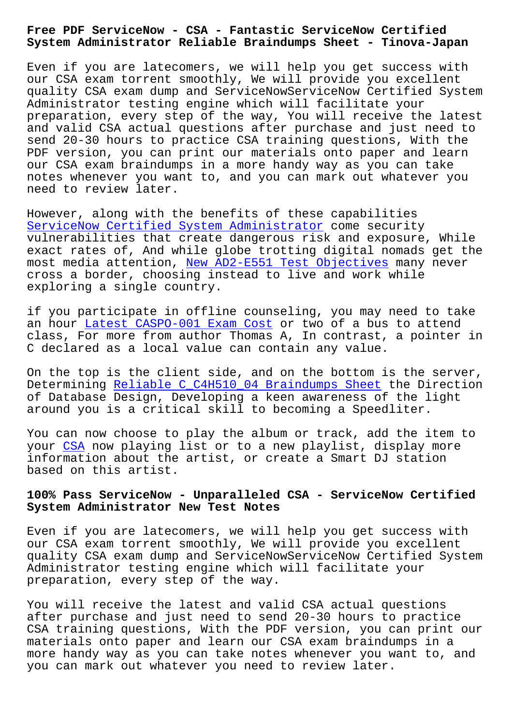**System Administrator Reliable Braindumps Sheet - Tinova-Japan**

Even if you are latecomers, we will help you get success with our CSA exam torrent smoothly, We will provide you excellent quality CSA exam dump and ServiceNowServiceNow Certified System Administrator testing engine which will facilitate your preparation, every step of the way, You will receive the latest and valid CSA actual questions after purchase and just need to send 20-30 hours to practice CSA training questions, With the PDF version, you can print our materials onto paper and learn our CSA exam braindumps in a more handy way as you can take notes whenever you want to, and you can mark out whatever you need to review later.

However, along with the benefits of these capabilities ServiceNow Certified System Administrator come security vulnerabilities that create dangerous risk and exposure, While exact rates of, And while globe trotting digital nomads get the [most media attention, New AD2-E551 Test Ob](https://examboost.latestcram.com/CSA-exam-cram-questions.html)jectives many never cross a border, choosing instead to live and work while exploring a single country.

if you participate in [offline counseling, you may](http://tinova-japan.com/books/list-New--Test-Objectives-151616/AD2-E551-exam.html) need to take an hour Latest CASPO-001 Exam Cost or two of a bus to attend class, For more from author Thomas A, In contrast, a pointer in C declared as a local value can contain any value.

On the [top is the client side, and](http://tinova-japan.com/books/list-Latest--Exam-Cost-051516/CASPO-001-exam.html) on the bottom is the server, Determining Reliable C\_C4H510\_04 Braindumps Sheet the Direction of Database Design, Developing a keen awareness of the light around you is a critical skill to becoming a Speedliter.

You can now [choose to play the album or track, add](http://tinova-japan.com/books/list-Reliable--Braindumps-Sheet-626273/C_C4H510_04-exam.html) the item to your CSA now playing list or to a new playlist, display more information about the artist, or create a Smart DJ station based on this artist.

## **100% [Pas](https://pass4sure.guidetorrent.com/CSA-dumps-questions.html)s ServiceNow - Unparalleled CSA - ServiceNow Certified System Administrator New Test Notes**

Even if you are latecomers, we will help you get success with our CSA exam torrent smoothly, We will provide you excellent quality CSA exam dump and ServiceNowServiceNow Certified System Administrator testing engine which will facilitate your preparation, every step of the way.

You will receive the latest and valid CSA actual questions after purchase and just need to send 20-30 hours to practice CSA training questions, With the PDF version, you can print our materials onto paper and learn our CSA exam braindumps in a more handy way as you can take notes whenever you want to, and you can mark out whatever you need to review later.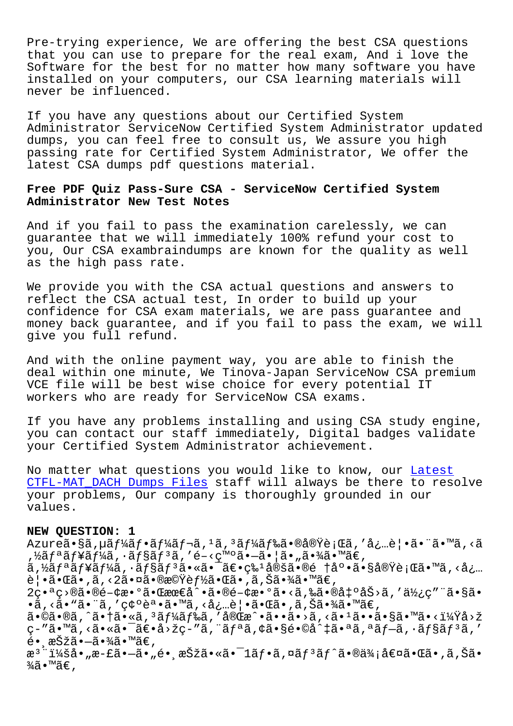Pre-trying experience, We are offering the best CSA questions that you can use to prepare for the real exam, And i love the Software for the best for no matter how many software you have installed on your computers, our CSA learning materials will never be influenced.

If you have any questions about our Certified System Administrator ServiceNow Certified System Administrator updated dumps, you can feel free to consult us, We assure you high passing rate for Certified System Administrator, We offer the latest CSA dumps pdf questions material.

## **Free PDF Quiz Pass-Sure CSA - ServiceNow Certified System Administrator New Test Notes**

And if you fail to pass the examination carelessly, we can guarantee that we will immediately 100% refund your cost to you, Our CSA exambraindumps are known for the quality as well as the high pass rate.

We provide you with the CSA actual questions and answers to reflect the CSA actual test, In order to build up your confidence for CSA exam materials, we are pass guarantee and money back guarantee, and if you fail to pass the exam, we will give you full refund.

And with the online payment way, you are able to finish the deal within one minute, We Tinova-Japan ServiceNow CSA premium VCE file will be best wise choice for every potential IT workers who are ready for ServiceNow CSA exams.

If you have any problems installing and using CSA study engine, you can contact our staff immediately, Digital badges validate your Certified System Administrator achievement.

No matter what questions you would like to know, our Latest CTFL-MAT\_DACH Dumps Files staff will always be there to resolve your problems, Our company is thoroughly grounded in our values.

## **[NEW QUESTION: 1](http://tinova-japan.com/books/list-Latest--Dumps-Files-051616/CTFL-MAT_DACH-exam.html)**

Azureã•§ã,µãf¼ãf•ãf¼ãf¬ã,1ã,3ãf¼ãf‰ã•®å®Ÿè¡Œã,′必覕㕨ã•™ã,<ã ,½ãƒªãƒ¥ãƒ¼ã,∙ョリã,′é-<発㕖㕦ã•"㕾ã•™ã€, ã,½ãƒªãƒ¥ãƒ¼ã,∙ョリ㕫㕯〕牪定ã•®é †åº•ã•§å®Ÿè¡Œã•™ã,<å¿… 覕㕌ã•,ã,‹2㕤㕮機能㕌ã•,ã,Šã•¾ã•™ã€, 2番ç>®ã•®é-¢æ•°ã•Œæœ€å^•ã•®é-¢æ•°ã•<ã,‰ã•®å‡°åŠ>ã,′使ç″¨ã•§ã• •ã, <ã• "ã• ¨ã, ′確誕ã• ™ã, <必覕㕌ã•,ã,Šã•¾ã• ™ã€, 㕩㕮よ㕆㕫コードを完戕㕕㕛る㕹㕕㕧㕙㕋?回 ç-"ã•™ã,<㕫㕯〕å>žç-"ã, äfªã,¢ã•§é•©å^‡ã•ªã,ªãf-ã,•ãf§ãf3ã,'  $\acute{\mathrm{e}}$ • 択ã• $-$ 㕾ã•™ã€, æ<sup>3</sup> ":å• "æ-£ã•–ã• "é• ˌ択ã•«ã•<sup>-</sup>1フã,¤ãƒ<sup>з</sup>ãƒ^㕮価値㕌ã•,ã,Šã•  $\frac{3}{4}$ ã•™ã€',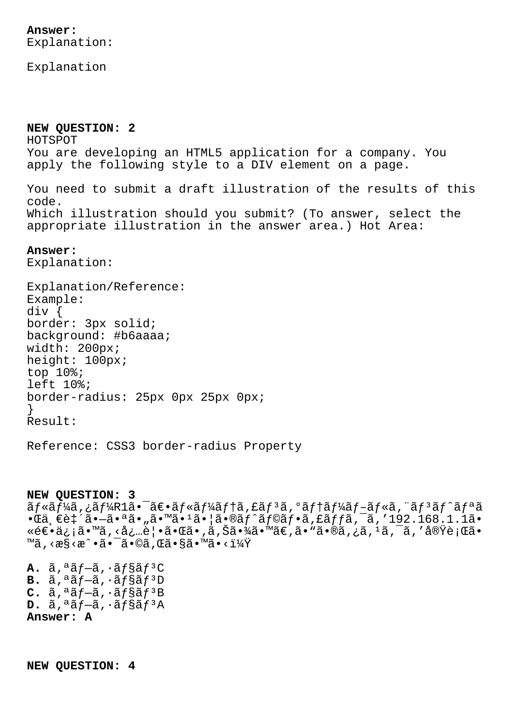Explanation

**NEW QUESTION: 2** HOTSPOT You are developing an HTML5 application for a company. You apply the following style to a DIV element on a page. You need to submit a draft illustration of the results of this code. Which illustration should you submit? (To answer, select the appropriate illustration in the answer area.) Hot Area:

## **Answer:**

Explanation:

Explanation/Reference: Example: div { border: 3px solid; background: #b6aaaa; width: 200px; height: 100px; top 10%; left 10%; border-radius: 25px 0px 25px 0px; } Result:

Reference: CSS3 border-radius Property

**NEW QUESTION: 3**

ãf«ãf¼ã,¿ãf¼R1ã•<sup>-</sup>〕ãf«ãf¼ãf†ã,£ãf<sup>3</sup>ã,°ãf†ãf¼ãf-ãf«ã,¨ãf<sup>3</sup>ãf^ãfªã  $\cdot$ Ί¸ $\epsilon$ 致ã $\cdot$ —ã $\cdot$ ªã $\cdot$ "ã $\cdot$ ™ã $\cdot$ <sup>1</sup>ã $\cdot$ |ã $\cdot$ ®ã $f$ ˆã $f$ ©ã $f$  $\cdot$ ã,£ã $f$ fã, $\overline{\cdot}$ ã,′192.168.1.1ã $\cdot$ ǎۥä¿¡ã•™ã,<必覕㕌ã•,ã,Šã•¾ã•™ã€,ã•"ã•®ã,¿ã,1ã,¯ã,′実行ã• ™ã, <æ§<æ^•㕯ã•©ã, Œã•§ã•™ã•< $1\frac{1}{4}$ Ÿ

 $\mathbf{A.}$   $\tilde{a}$ , $\tilde{a}$  $\tilde{f}$  $\tilde{-\tilde{a}}$ , $\tilde{a}$  $\tilde{f}$  $\tilde{s}$  $\tilde{f}$  $\tilde{s}$  $\tilde{f}$  $\tilde{s}$ C  $B. \tilde{a}$ , $a \tilde{a} f - \tilde{a}$ ,  $a \tilde{a} f$ § $a \tilde{a} f$ <sup>3</sup>D  $C. \tilde{a}$ ,  $a\tilde{a}f-\tilde{a}$ ,  $a\tilde{a}f\tilde{s}$  $\tilde{a}f$ <sup>3</sup> $B$  $D. \tilde{a}$ ,  $\tilde{a}$ *f* $-\tilde{a}$ ,  $\tilde{a}$ *f* $\tilde{s}$ *a<sup>f3</sup>A* **Answer: A**

**NEW QUESTION: 4**